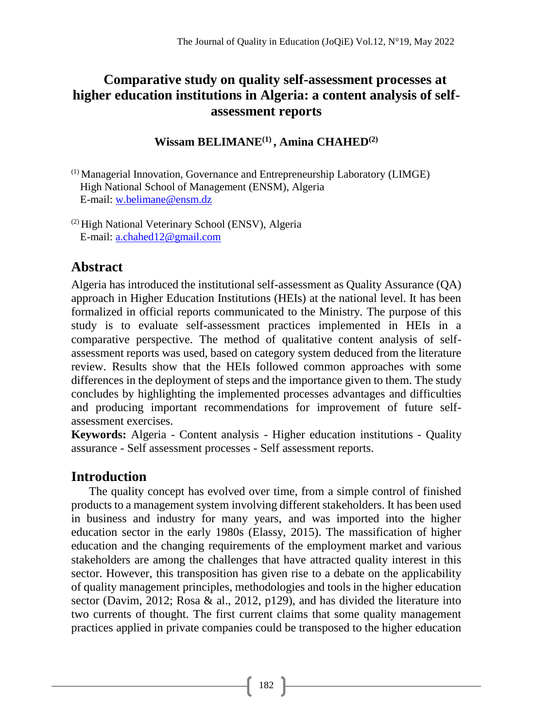# **Comparative study on quality self-assessment processes at higher education institutions in Algeria: a content analysis of selfassessment reports**

**Wissam BELIMANE(1) , Amina CHAHED(2)**

(1) Managerial Innovation, Governance and Entrepreneurship Laboratory (LIMGE) High National School of Management (ENSM), Algeria E-mail[: w.belimane@ensm.dz](mailto:w.belimane@ensm.dz)

(2) High National Veterinary School (ENSV), Algeria E-mail: [a.chahed12@gmail.com](mailto:a.chahed12@gmail.com)

# **Abstract**

Algeria has introduced the institutional self-assessment as Quality Assurance (QA) approach in Higher Education Institutions (HEIs) at the national level. It has been formalized in official reports communicated to the Ministry. The purpose of this study is to evaluate self-assessment practices implemented in HEIs in a comparative perspective. The method of qualitative content analysis of selfassessment reports was used, based on category system deduced from the literature review. Results show that the HEIs followed common approaches with some differences in the deployment of steps and the importance given to them. The study concludes by highlighting the implemented processes advantages and difficulties and producing important recommendations for improvement of future selfassessment exercises.

**Keywords:** Algeria - Content analysis - Higher education institutions - Quality assurance - Self assessment processes - Self assessment reports.

# **Introduction**

The quality concept has evolved over time, from a simple control of finished products to a management system involving different stakeholders. It has been used in business and industry for many years, and was imported into the higher education sector in the early 1980s (Elassy, 2015). The massification of higher education and the changing requirements of the employment market and various stakeholders are among the challenges that have attracted quality interest in this sector. However, this transposition has given rise to a debate on the applicability of quality management principles, methodologies and tools in the higher education sector (Davim, 2012; Rosa & al., 2012, p129), and has divided the literature into two currents of thought. The first current claims that some quality management practices applied in private companies could be transposed to the higher education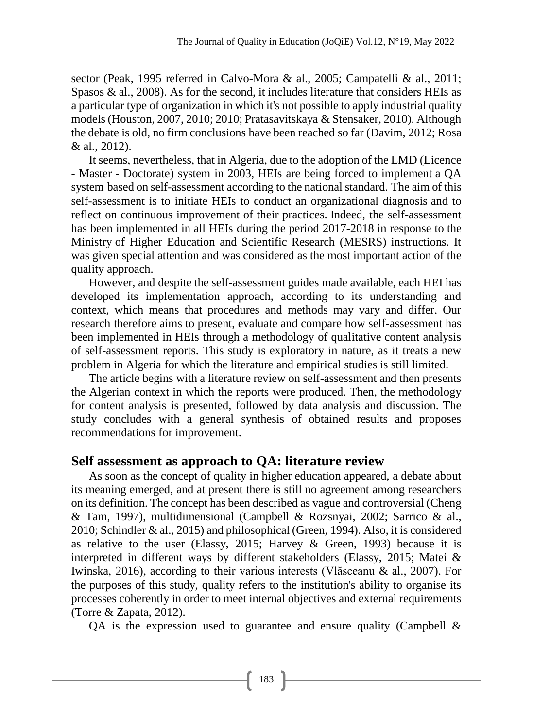sector (Peak, 1995 referred in Calvo-Mora & al., 2005; Campatelli & al., 2011; Spasos & al., 2008). As for the second, it includes literature that considers HEIs as a particular type of organization in which it's not possible to apply industrial quality models (Houston, 2007, 2010; 2010; Pratasavitskaya & Stensaker, 2010). Although the debate is old, no firm conclusions have been reached so far (Davim, 2012; Rosa & al., 2012).

It seems, nevertheless, that in Algeria, due to the adoption of the LMD (Licence - Master - Doctorate) system in 2003, HEIs are being forced to implement a QA system based on self-assessment according to the national standard. The aim of this self-assessment is to initiate HEIs to conduct an organizational diagnosis and to reflect on continuous improvement of their practices. Indeed, the self-assessment has been implemented in all HEIs during the period 2017-2018 in response to the Ministry of Higher Education and Scientific Research (MESRS) instructions. It was given special attention and was considered as the most important action of the quality approach.

However, and despite the self-assessment guides made available, each HEI has developed its implementation approach, according to its understanding and context, which means that procedures and methods may vary and differ. Our research therefore aims to present, evaluate and compare how self-assessment has been implemented in HEIs through a methodology of qualitative content analysis of self-assessment reports. This study is exploratory in nature, as it treats a new problem in Algeria for which the literature and empirical studies is still limited.

The article begins with a literature review on self-assessment and then presents the Algerian context in which the reports were produced. Then, the methodology for content analysis is presented, followed by data analysis and discussion. The study concludes with a general synthesis of obtained results and proposes recommendations for improvement.

# **Self assessment as approach to QA: literature review**

As soon as the concept of quality in higher education appeared, a debate about its meaning emerged, and at present there is still no agreement among researchers on its definition. The concept has been described as vague and controversial (Cheng & Tam, 1997), multidimensional (Campbell & Rozsnyai, 2002; Sarrico & al., 2010; Schindler & al., 2015) and philosophical (Green, 1994). Also, it is considered as relative to the user (Elassy, 2015; Harvey & Green, 1993) because it is interpreted in different ways by different stakeholders (Elassy, 2015; Matei & Iwinska, 2016), according to their various interests (Vlăsceanu & al., 2007). For the purposes of this study, quality refers to the institution's ability to organise its processes coherently in order to meet internal objectives and external requirements (Torre & Zapata, 2012).

QA is the expression used to guarantee and ensure quality (Campbell  $\&$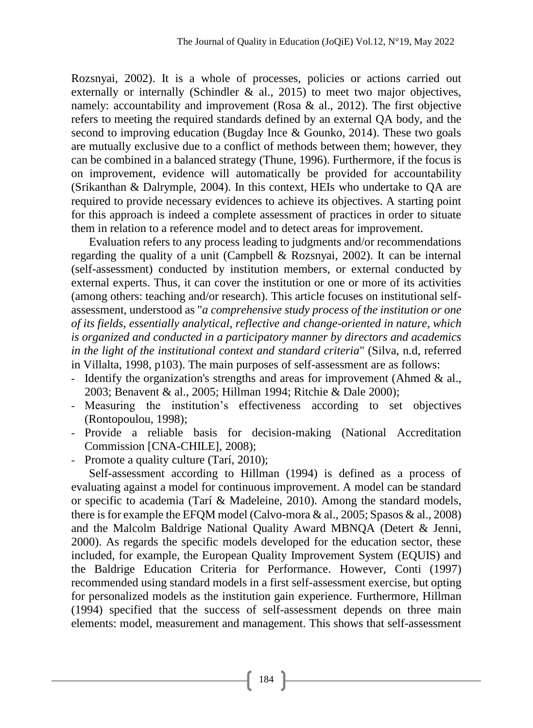Rozsnyai, 2002). It is a whole of processes, policies or actions carried out externally or internally (Schindler  $\&$  al., 2015) to meet two major objectives, namely: accountability and improvement (Rosa & al., 2012). The first objective refers to meeting the required standards defined by an external QA body, and the second to improving education (Bugday Ince & Gounko, 2014). These two goals are mutually exclusive due to a conflict of methods between them; however, they can be combined in a balanced strategy (Thune, 1996). Furthermore, if the focus is on improvement, evidence will automatically be provided for accountability (Srikanthan & Dalrymple, 2004). In this context, HEIs who undertake to QA are required to provide necessary evidences to achieve its objectives. A starting point for this approach is indeed a complete assessment of practices in order to situate them in relation to a reference model and to detect areas for improvement.

Evaluation refers to any process leading to judgments and/or recommendations regarding the quality of a unit (Campbell & Rozsnyai, 2002). It can be internal (self-assessment) conducted by institution members, or external conducted by external experts. Thus, it can cover the institution or one or more of its activities (among others: teaching and/or research). This article focuses on institutional selfassessment, understood as "*a comprehensive study process of the institution or one of its fields, essentially analytical, reflective and change-oriented in nature, which is organized and conducted in a participatory manner by directors and academics in the light of the institutional context and standard criteria*" (Silva, n.d, referred in Villalta, 1998, p103). The main purposes of self-assessment are as follows:

- Identify the organization's strengths and areas for improvement (Ahmed & al., 2003; Benavent & al., 2005; Hillman 1994; Ritchie & Dale 2000);
- Measuring the institution's effectiveness according to set objectives (Rontopoulou, 1998);
- Provide a reliable basis for decision-making (National Accreditation Commission [CNA-CHILE], 2008);
- Promote a quality culture (Tarí, 2010);

Self-assessment according to Hillman (1994) is defined as a process of evaluating against a model for continuous improvement. A model can be standard or specific to academia (Tarí & Madeleine, 2010). Among the standard models, there is for example the EFQM model (Calvo-mora & al., 2005; Spasos & al., 2008) and the Malcolm Baldrige National Quality Award MBNQA (Detert & Jenni, 2000). As regards the specific models developed for the education sector, these included, for example, the European Quality Improvement System (EQUIS) and the Baldrige Education Criteria for Performance. However, Conti (1997) recommended using standard models in a first self-assessment exercise, but opting for personalized models as the institution gain experience. Furthermore, Hillman (1994) specified that the success of self-assessment depends on three main elements: model, measurement and management. This shows that self-assessment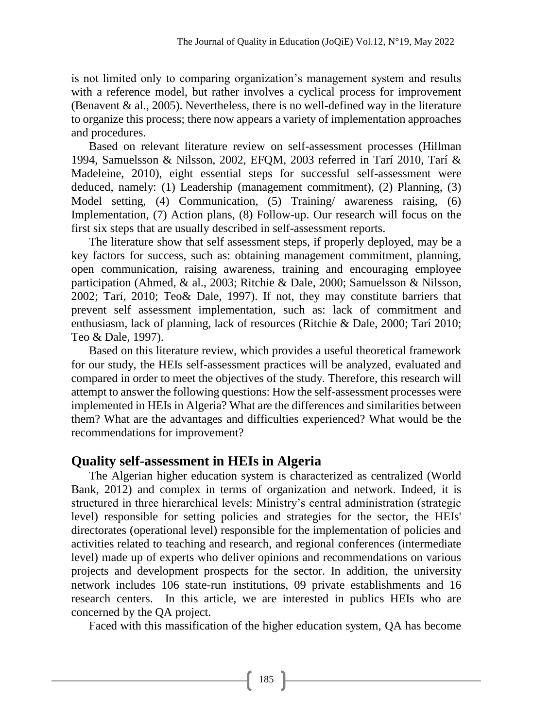is not limited only to comparing organization's management system and results with a reference model, but rather involves a cyclical process for improvement (Benavent  $\&$  al., 2005). Nevertheless, there is no well-defined way in the literature to organize this process; there now appears a variety of implementation approaches and procedures.

Based on relevant literature review on self-assessment processes (Hillman 1994, Samuelsson & Nilsson, 2002, EFQM, 2003 referred in Tarí 2010, Tarí & Madeleine, 2010), eight essential steps for successful self-assessment were deduced, namely: (1) Leadership (management commitment), (2) Planning, (3) Model setting, (4) Communication, (5) Training/ awareness raising, (6) Implementation, (7) Action plans, (8) Follow-up. Our research will focus on the first six steps that are usually described in self-assessment reports.

The literature show that self assessment steps, if properly deployed, may be a key factors for success, such as: obtaining management commitment, planning, open communication, raising awareness, training and encouraging employee participation (Ahmed, & al., 2003; Ritchie & Dale, 2000; Samuelsson & Nilsson, 2002; Tarí, 2010; Teo& Dale, 1997). If not, they may constitute barriers that prevent self assessment implementation, such as: lack of commitment and enthusiasm, lack of planning, lack of resources (Ritchie & Dale, 2000; Tarí 2010; Teo & Dale, 1997).

Based on this literature review, which provides a useful theoretical framework for our study, the HEIs self-assessment practices will be analyzed, evaluated and compared in order to meet the objectives of the study. Therefore, this research will attempt to answer the following questions: How the self-assessment processes were implemented in HEIs in Algeria? What are the differences and similarities between them? What are the advantages and difficulties experienced? What would be the recommendations for improvement?

# **Quality self-assessment in HEIs in Algeria**

The Algerian higher education system is characterized as centralized (World Bank, 2012) and complex in terms of organization and network. Indeed, it is structured in three hierarchical levels: Ministry's central administration (strategic level) responsible for setting policies and strategies for the sector, the HEIs' directorates (operational level) responsible for the implementation of policies and activities related to teaching and research, and regional conferences (intermediate level) made up of experts who deliver opinions and recommendations on various projects and development prospects for the sector. In addition, the university network includes 106 state-run institutions, 09 private establishments and 16 research centers. In this article, we are interested in publics HEIs who are concerned by the QA project.

Faced with this massification of the higher education system, QA has become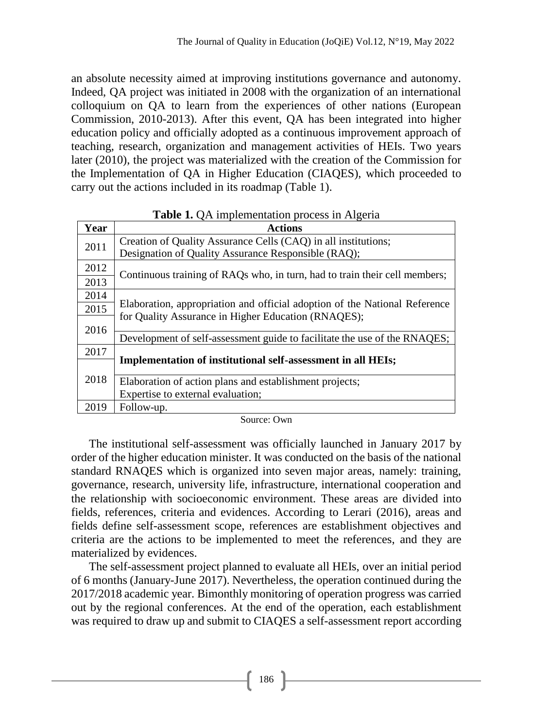an absolute necessity aimed at improving institutions governance and autonomy. Indeed, QA project was initiated in 2008 with the organization of an international colloquium on QA to learn from the experiences of other nations (European Commission, 2010-2013). After this event, QA has been integrated into higher education policy and officially adopted as a continuous improvement approach of teaching, research, organization and management activities of HEIs. Two years later (2010), the project was materialized with the creation of the Commission for the Implementation of QA in Higher Education (CIAQES), which proceeded to carry out the actions included in its roadmap (Table 1).

|      | $\mathbf{A}$                                                               |  |  |  |  |  |
|------|----------------------------------------------------------------------------|--|--|--|--|--|
| Year | <b>Actions</b>                                                             |  |  |  |  |  |
| 2011 | Creation of Quality Assurance Cells (CAQ) in all institutions;             |  |  |  |  |  |
|      | Designation of Quality Assurance Responsible (RAQ);                        |  |  |  |  |  |
| 2012 |                                                                            |  |  |  |  |  |
| 2013 | Continuous training of RAQs who, in turn, had to train their cell members; |  |  |  |  |  |
| 2014 |                                                                            |  |  |  |  |  |
| 2015 | Elaboration, appropriation and official adoption of the National Reference |  |  |  |  |  |
| 2016 | for Quality Assurance in Higher Education (RNAQES);                        |  |  |  |  |  |
|      | Development of self-assessment guide to facilitate the use of the RNAQES;  |  |  |  |  |  |
| 2017 |                                                                            |  |  |  |  |  |
|      | <b>Implementation of institutional self-assessment in all HEIs;</b>        |  |  |  |  |  |
| 2018 | Elaboration of action plans and establishment projects;                    |  |  |  |  |  |
|      | Expertise to external evaluation;                                          |  |  |  |  |  |
| 2019 | Follow-up.                                                                 |  |  |  |  |  |

**Table 1. OA implementation process in Algeria** 

Source: Own

The institutional self-assessment was officially launched in January 2017 by order of the higher education minister. It was conducted on the basis of the national standard RNAQES which is organized into seven major areas, namely: training, governance, research, university life, infrastructure, international cooperation and the relationship with socioeconomic environment. These areas are divided into fields, references, criteria and evidences. According to Lerari (2016), areas and fields define self-assessment scope, references are establishment objectives and criteria are the actions to be implemented to meet the references, and they are materialized by evidences.

The self-assessment project planned to evaluate all HEIs, over an initial period of 6 months (January-June 2017). Nevertheless, the operation continued during the 2017/2018 academic year. Bimonthly monitoring of operation progress was carried out by the regional conferences. At the end of the operation, each establishment was required to draw up and submit to CIAQES a self-assessment report according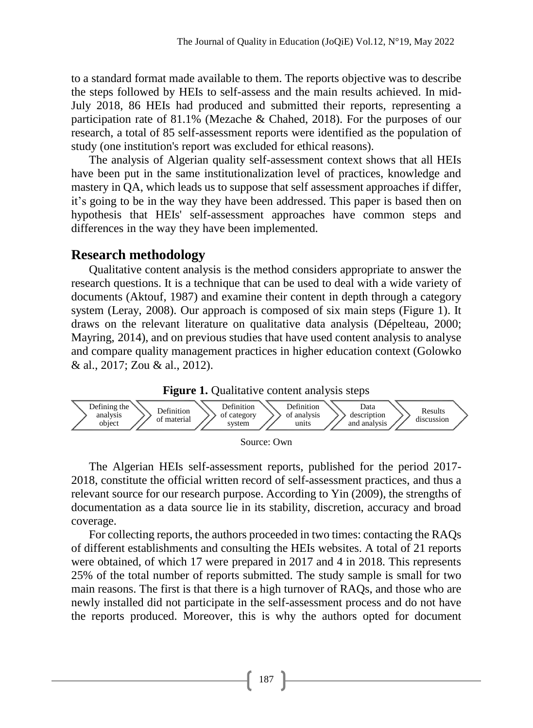to a standard format made available to them. The reports objective was to describe the steps followed by HEIs to self-assess and the main results achieved. In mid-July 2018, 86 HEIs had produced and submitted their reports, representing a participation rate of 81.1% (Mezache & Chahed, 2018). For the purposes of our research, a total of 85 self-assessment reports were identified as the population of study (one institution's report was excluded for ethical reasons).

The analysis of Algerian quality self-assessment context shows that all HEIs have been put in the same institutionalization level of practices, knowledge and mastery in QA, which leads us to suppose that self assessment approaches if differ, it's going to be in the way they have been addressed. This paper is based then on hypothesis that HEIs' self-assessment approaches have common steps and differences in the way they have been implemented.

### **Research methodology**

Qualitative content analysis is the method considers appropriate to answer the research questions. It is a technique that can be used to deal with a wide variety of documents (Aktouf, 1987) and examine their content in depth through a category system (Leray, 2008). Our approach is composed of six main steps (Figure 1). It draws on the relevant literature on qualitative data analysis (Dépelteau, 2000; Mayring, 2014), and on previous studies that have used content analysis to analyse and compare quality management practices in higher education context (Golowko & al., 2017; Zou & al., 2012).





Source: Own

The Algerian HEIs self-assessment reports, published for the period 2017- 2018, constitute the official written record of self-assessment practices, and thus a relevant source for our research purpose. According to Yin (2009), the strengths of documentation as a data source lie in its stability, discretion, accuracy and broad coverage.

For collecting reports, the authors proceeded in two times: contacting the RAQs of different establishments and consulting the HEIs websites. A total of 21 reports were obtained, of which 17 were prepared in 2017 and 4 in 2018. This represents 25% of the total number of reports submitted. The study sample is small for two main reasons. The first is that there is a high turnover of RAQs, and those who are newly installed did not participate in the self-assessment process and do not have the reports produced. Moreover, this is why the authors opted for document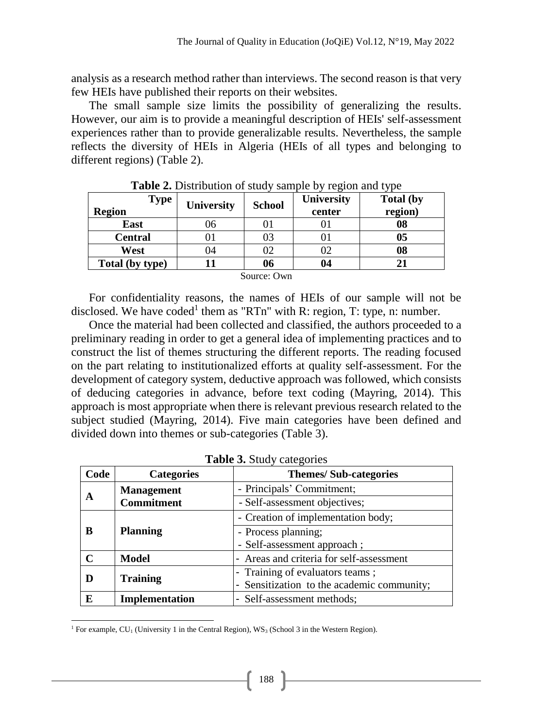analysis as a research method rather than interviews. The second reason is that very few HEIs have published their reports on their websites.

The small sample size limits the possibility of generalizing the results. However, our aim is to provide a meaningful description of HEIs' self-assessment experiences rather than to provide generalizable results. Nevertheless, the sample reflects the diversity of HEIs in Algeria (HEIs of all types and belonging to different regions) (Table 2).

| <b>Type</b><br><b>Region</b> | <b>University</b> | <b>School</b> | University<br>center | <b>Total (by</b><br>region) |
|------------------------------|-------------------|---------------|----------------------|-----------------------------|
| East                         | 96                |               |                      | 08                          |
| <b>Central</b>               |                   | 03            |                      | 0 <sub>5</sub>              |
| West                         | )4                | 02            | 02                   | 08                          |
| Total (by type)              |                   | 06            | 04                   |                             |
|                              |                   | Source: Own   |                      |                             |

**Table 2.** Distribution of study sample by region and type

For confidentiality reasons, the names of HEIs of our sample will not be disclosed. We have coded<sup>1</sup> them as "RTn" with R: region, T: type, n: number.

Once the material had been collected and classified, the authors proceeded to a preliminary reading in order to get a general idea of implementing practices and to construct the list of themes structuring the different reports. The reading focused on the part relating to institutionalized efforts at quality self-assessment. For the development of category system, deductive approach was followed, which consists of deducing categories in advance, before text coding (Mayring, 2014). This approach is most appropriate when there is relevant previous research related to the subject studied (Mayring, 2014). Five main categories have been defined and divided down into themes or sub-categories (Table 3).

| Code              | <b>Categories</b> | <b>Themes/Sub-categories</b>               |  |
|-------------------|-------------------|--------------------------------------------|--|
| A                 | <b>Management</b> | - Principals' Commitment;                  |  |
|                   | <b>Commitment</b> | - Self-assessment objectives;              |  |
| B                 | <b>Planning</b>   | - Creation of implementation body;         |  |
|                   |                   | - Process planning;                        |  |
|                   |                   | - Self-assessment approach;                |  |
| $\mathsf{\Gamma}$ | <b>Model</b>      | - Areas and criteria for self-assessment   |  |
|                   | <b>Training</b>   | - Training of evaluators teams;            |  |
|                   |                   | - Sensitization to the academic community; |  |
| E                 | Implementation    | - Self-assessment methods;                 |  |

**Table 3.** Study categories

 $\overline{a}$ <sup>1</sup> For example, CU<sub>1</sub> (University 1 in the Central Region), WS<sub>3</sub> (School 3 in the Western Region).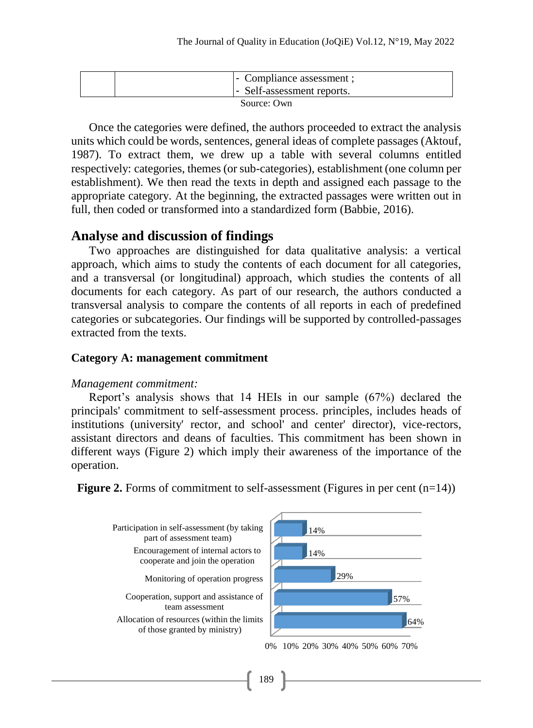|             |  | - Compliance assessment ;<br>- Self-assessment reports. |  |  |
|-------------|--|---------------------------------------------------------|--|--|
| Source: Own |  |                                                         |  |  |

Once the categories were defined, the authors proceeded to extract the analysis units which could be words, sentences, general ideas of complete passages (Aktouf, 1987). To extract them, we drew up a table with several columns entitled respectively: categories, themes (or sub-categories), establishment (one column per establishment). We then read the texts in depth and assigned each passage to the appropriate category. At the beginning, the extracted passages were written out in full, then coded or transformed into a standardized form (Babbie, 2016).

#### **Analyse and discussion of findings**

Two approaches are distinguished for data qualitative analysis: a vertical approach, which aims to study the contents of each document for all categories, and a transversal (or longitudinal) approach, which studies the contents of all documents for each category. As part of our research, the authors conducted a transversal analysis to compare the contents of all reports in each of predefined categories or subcategories. Our findings will be supported by controlled-passages extracted from the texts.

#### **Category A: management commitment**

#### *Management commitment:*

Report's analysis shows that 14 HEIs in our sample (67%) declared the principals' commitment to self-assessment process. principles, includes heads of institutions (university' rector, and school' and center' director), vice-rectors, assistant directors and deans of faculties. This commitment has been shown in different ways (Figure 2) which imply their awareness of the importance of the operation.





189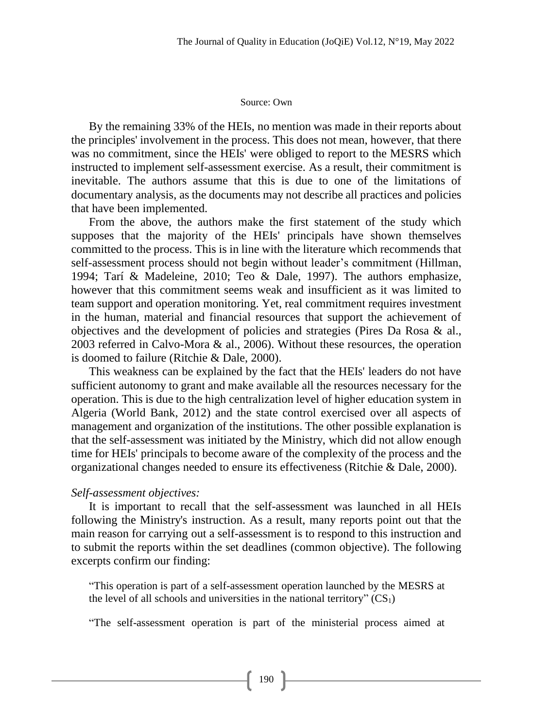#### Source: Own

By the remaining 33% of the HEIs, no mention was made in their reports about the principles' involvement in the process. This does not mean, however, that there was no commitment, since the HEIs' were obliged to report to the MESRS which instructed to implement self-assessment exercise. As a result, their commitment is inevitable. The authors assume that this is due to one of the limitations of documentary analysis, as the documents may not describe all practices and policies that have been implemented.

From the above, the authors make the first statement of the study which supposes that the majority of the HEIs' principals have shown themselves committed to the process. This is in line with the literature which recommends that self-assessment process should not begin without leader's commitment (Hillman, 1994; Tarí & Madeleine, 2010; Teo & Dale, 1997). The authors emphasize, however that this commitment seems weak and insufficient as it was limited to team support and operation monitoring. Yet, real commitment requires investment in the human, material and financial resources that support the achievement of objectives and the development of policies and strategies (Pires Da Rosa & al., 2003 referred in Calvo-Mora & al., 2006). Without these resources, the operation is doomed to failure (Ritchie & Dale, 2000).

This weakness can be explained by the fact that the HEIs' leaders do not have sufficient autonomy to grant and make available all the resources necessary for the operation. This is due to the high centralization level of higher education system in Algeria (World Bank, 2012) and the state control exercised over all aspects of management and organization of the institutions. The other possible explanation is that the self-assessment was initiated by the Ministry, which did not allow enough time for HEIs' principals to become aware of the complexity of the process and the organizational changes needed to ensure its effectiveness (Ritchie & Dale, 2000).

#### *Self-assessment objectives:*

It is important to recall that the self-assessment was launched in all HEIs following the Ministry's instruction. As a result, many reports point out that the main reason for carrying out a self-assessment is to respond to this instruction and to submit the reports within the set deadlines (common objective). The following excerpts confirm our finding:

"This operation is part of a self-assessment operation launched by the MESRS at the level of all schools and universities in the national territory"  $(CS_1)$ 

"The self-assessment operation is part of the ministerial process aimed at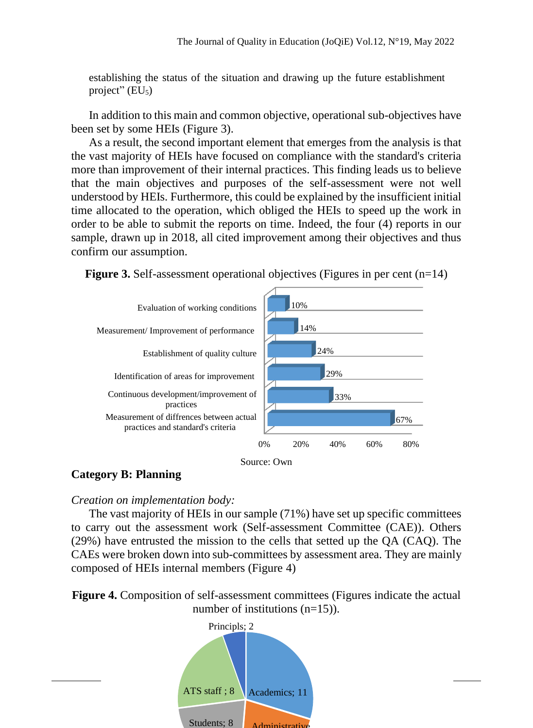establishing the status of the situation and drawing up the future establishment project"  $(EU_5)$ 

In addition to this main and common objective, operational sub-objectives have been set by some HEIs (Figure 3).

As a result, the second important element that emerges from the analysis is that the vast majority of HEIs have focused on compliance with the standard's criteria more than improvement of their internal practices. This finding leads us to believe that the main objectives and purposes of the self-assessment were not well understood by HEIs. Furthermore, this could be explained by the insufficient initial time allocated to the operation, which obliged the HEIs to speed up the work in order to be able to submit the reports on time. Indeed, the four (4) reports in our sample, drawn up in 2018, all cited improvement among their objectives and thus confirm our assumption.





#### **Category B: Planning**

#### *Creation on implementation body:*

The vast majority of HEIs in our sample (71%) have set up specific committees to carry out the assessment work (Self-assessment Committee (CAE)). Others (29%) have entrusted the mission to the cells that setted up the QA (CAQ). The CAEs were broken down into sub-committees by assessment area. They are mainly composed of HEIs internal members (Figure 4)

**Figure 4.** Composition of self-assessment committees (Figures indicate the actual number of institutions (n=15)).

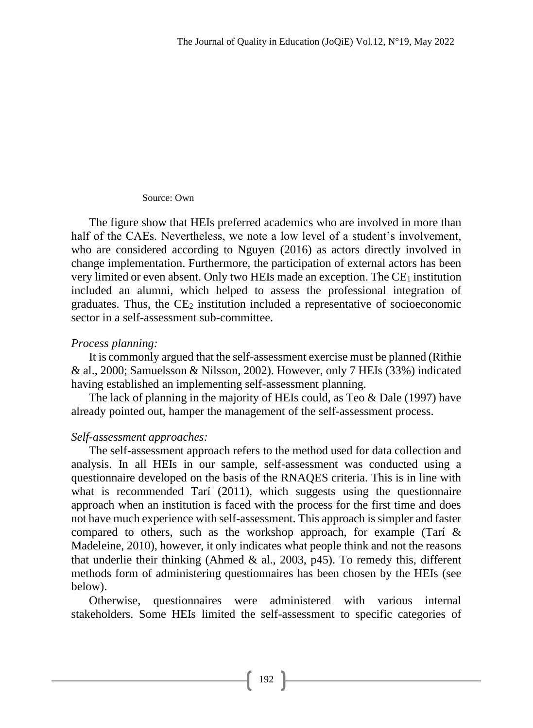#### Source: Own

The figure show that HEIs preferred academics who are involved in more than half of the CAEs. Nevertheless, we note a low level of a student's involvement, who are considered according to Nguyen (2016) as actors directly involved in change implementation. Furthermore, the participation of external actors has been very limited or even absent. Only two HEIs made an exception. The  $CE<sub>1</sub>$  institution included an alumni, which helped to assess the professional integration of graduates. Thus, the  $CE_2$  institution included a representative of socioeconomic sector in a self-assessment sub-committee.

#### *Process planning:*

It is commonly argued that the self-assessment exercise must be planned (Rithie & al., 2000; Samuelsson & Nilsson, 2002). However, only 7 HEIs (33%) indicated having established an implementing self-assessment planning.

The lack of planning in the majority of HEIs could, as Teo & Dale (1997) have already pointed out, hamper the management of the self-assessment process.

### *Self-assessment approaches:*

The self-assessment approach refers to the method used for data collection and analysis. In all HEIs in our sample, self-assessment was conducted using a questionnaire developed on the basis of the RNAQES criteria. This is in line with what is recommended Tarí (2011), which suggests using the questionnaire approach when an institution is faced with the process for the first time and does not have much experience with self-assessment. This approach is simpler and faster compared to others, such as the workshop approach, for example (Tarí & Madeleine, 2010), however, it only indicates what people think and not the reasons that underlie their thinking (Ahmed & al., 2003,  $p45$ ). To remedy this, different methods form of administering questionnaires has been chosen by the HEIs (see below).

Otherwise, questionnaires were administered with various internal stakeholders. Some HEIs limited the self-assessment to specific categories of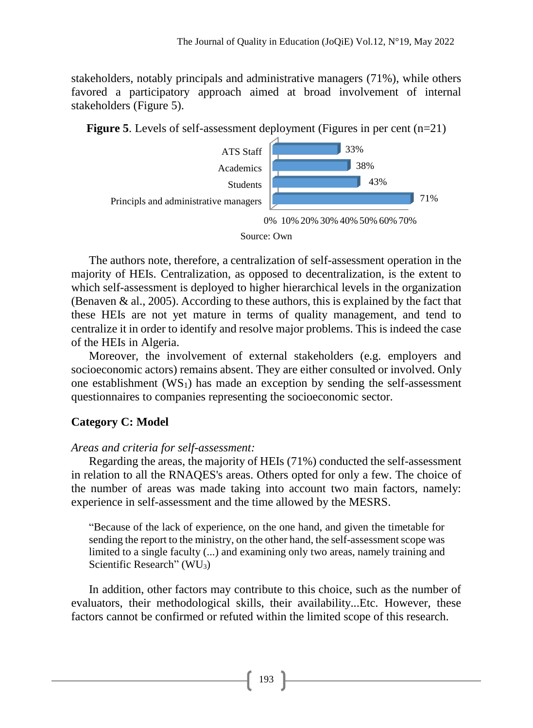stakeholders, notably principals and administrative managers (71%), while others favored a participatory approach aimed at broad involvement of internal stakeholders (Figure 5).





0% 10% 20% 30% 40% 50% 60% 70%

#### Source: Own

The authors note, therefore, a centralization of self-assessment operation in the majority of HEIs. Centralization, as opposed to decentralization, is the extent to which self-assessment is deployed to higher hierarchical levels in the organization (Benaven & al., 2005). According to these authors, this is explained by the fact that these HEIs are not yet mature in terms of quality management, and tend to centralize it in order to identify and resolve major problems. This is indeed the case of the HEIs in Algeria.

Moreover, the involvement of external stakeholders (e.g. employers and socioeconomic actors) remains absent. They are either consulted or involved. Only one establishment  $(WS_1)$  has made an exception by sending the self-assessment questionnaires to companies representing the socioeconomic sector.

### **Category C: Model**

### *Areas and criteria for self-assessment:*

Regarding the areas, the majority of HEIs (71%) conducted the self-assessment in relation to all the RNAQES's areas. Others opted for only a few. The choice of the number of areas was made taking into account two main factors, namely: experience in self-assessment and the time allowed by the MESRS.

"Because of the lack of experience, on the one hand, and given the timetable for sending the report to the ministry, on the other hand, the self-assessment scope was limited to a single faculty (...) and examining only two areas, namely training and Scientific Research" (WU3)

In addition, other factors may contribute to this choice, such as the number of evaluators, their methodological skills, their availability...Etc. However, these factors cannot be confirmed or refuted within the limited scope of this research.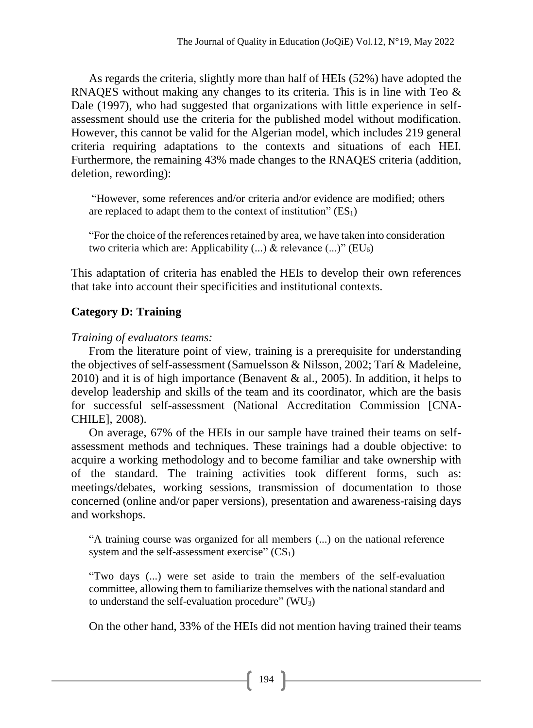As regards the criteria, slightly more than half of HEIs (52%) have adopted the RNAQES without making any changes to its criteria. This is in line with Teo & Dale (1997), who had suggested that organizations with little experience in selfassessment should use the criteria for the published model without modification. However, this cannot be valid for the Algerian model, which includes 219 general criteria requiring adaptations to the contexts and situations of each HEI. Furthermore, the remaining 43% made changes to the RNAQES criteria (addition, deletion, rewording):

"However, some references and/or criteria and/or evidence are modified; others are replaced to adapt them to the context of institution"  $(ES<sub>1</sub>)$ 

"For the choice of the references retained by area, we have taken into consideration two criteria which are: Applicability  $(...)$  & relevance  $(...)$ " (EU<sub>6</sub>)

This adaptation of criteria has enabled the HEIs to develop their own references that take into account their specificities and institutional contexts.

## **Category D: Training**

### *Training of evaluators teams:*

From the literature point of view, training is a prerequisite for understanding the objectives of self-assessment (Samuelsson & Nilsson, 2002; Tarí & Madeleine, 2010) and it is of high importance (Benavent & al., 2005). In addition, it helps to develop leadership and skills of the team and its coordinator, which are the basis for successful self-assessment (National Accreditation Commission [CNA-CHILE], 2008).

On average, 67% of the HEIs in our sample have trained their teams on selfassessment methods and techniques. These trainings had a double objective: to acquire a working methodology and to become familiar and take ownership with of the standard. The training activities took different forms, such as: meetings/debates, working sessions, transmission of documentation to those concerned (online and/or paper versions), presentation and awareness-raising days and workshops.

"A training course was organized for all members (...) on the national reference system and the self-assessment exercise"  $(CS_1)$ 

"Two days (...) were set aside to train the members of the self-evaluation committee, allowing them to familiarize themselves with the national standard and to understand the self-evaluation procedure"  $(WU_3)$ 

On the other hand, 33% of the HEIs did not mention having trained their teams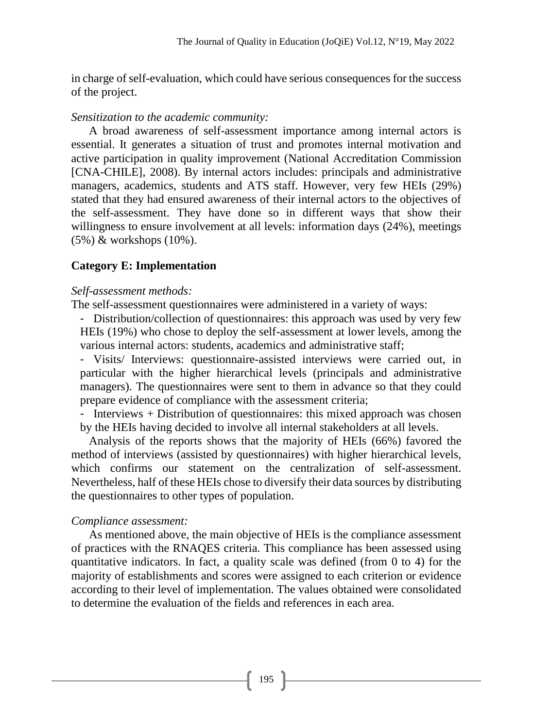in charge of self-evaluation, which could have serious consequences for the success of the project.

#### *Sensitization to the academic community:*

A broad awareness of self-assessment importance among internal actors is essential. It generates a situation of trust and promotes internal motivation and active participation in quality improvement (National Accreditation Commission [CNA-CHILE], 2008). By internal actors includes: principals and administrative managers, academics, students and ATS staff. However, very few HEIs (29%) stated that they had ensured awareness of their internal actors to the objectives of the self-assessment. They have done so in different ways that show their willingness to ensure involvement at all levels: information days (24%), meetings (5%) & workshops (10%).

### **Category E: Implementation**

#### *Self-assessment methods:*

The self-assessment questionnaires were administered in a variety of ways:

- Distribution/collection of questionnaires: this approach was used by very few HEIs (19%) who chose to deploy the self-assessment at lower levels, among the various internal actors: students, academics and administrative staff;

- Visits/ Interviews: questionnaire-assisted interviews were carried out, in particular with the higher hierarchical levels (principals and administrative managers). The questionnaires were sent to them in advance so that they could prepare evidence of compliance with the assessment criteria;

- Interviews + Distribution of questionnaires: this mixed approach was chosen by the HEIs having decided to involve all internal stakeholders at all levels.

Analysis of the reports shows that the majority of HEIs (66%) favored the method of interviews (assisted by questionnaires) with higher hierarchical levels, which confirms our statement on the centralization of self-assessment. Nevertheless, half of these HEIs chose to diversify their data sources by distributing the questionnaires to other types of population.

### *Compliance assessment:*

As mentioned above, the main objective of HEIs is the compliance assessment of practices with the RNAQES criteria. This compliance has been assessed using quantitative indicators. In fact, a quality scale was defined (from 0 to 4) for the majority of establishments and scores were assigned to each criterion or evidence according to their level of implementation. The values obtained were consolidated to determine the evaluation of the fields and references in each area.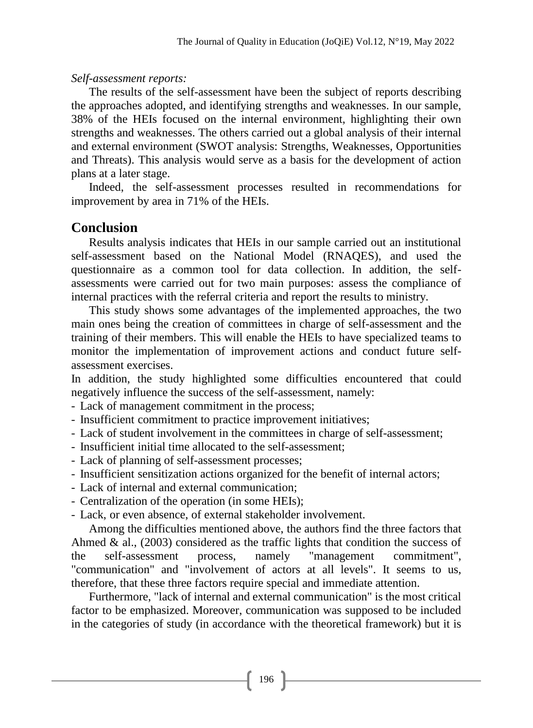### *Self-assessment reports:*

The results of the self-assessment have been the subject of reports describing the approaches adopted, and identifying strengths and weaknesses. In our sample, 38% of the HEIs focused on the internal environment, highlighting their own strengths and weaknesses. The others carried out a global analysis of their internal and external environment (SWOT analysis: Strengths, Weaknesses, Opportunities and Threats). This analysis would serve as a basis for the development of action plans at a later stage.

Indeed, the self-assessment processes resulted in recommendations for improvement by area in 71% of the HEIs.

# **Conclusion**

Results analysis indicates that HEIs in our sample carried out an institutional self-assessment based on the National Model (RNAQES), and used the questionnaire as a common tool for data collection. In addition, the selfassessments were carried out for two main purposes: assess the compliance of internal practices with the referral criteria and report the results to ministry.

This study shows some advantages of the implemented approaches, the two main ones being the creation of committees in charge of self-assessment and the training of their members. This will enable the HEIs to have specialized teams to monitor the implementation of improvement actions and conduct future selfassessment exercises.

In addition, the study highlighted some difficulties encountered that could negatively influence the success of the self-assessment, namely:

- Lack of management commitment in the process;

- Insufficient commitment to practice improvement initiatives;
- Lack of student involvement in the committees in charge of self-assessment;
- Insufficient initial time allocated to the self-assessment;
- Lack of planning of self-assessment processes;
- Insufficient sensitization actions organized for the benefit of internal actors;
- Lack of internal and external communication;
- Centralization of the operation (in some HEIs);
- Lack, or even absence, of external stakeholder involvement.

Among the difficulties mentioned above, the authors find the three factors that Ahmed  $\&$  al., (2003) considered as the traffic lights that condition the success of the self-assessment process, namely "management commitment", "communication" and "involvement of actors at all levels". It seems to us, therefore, that these three factors require special and immediate attention.

Furthermore, "lack of internal and external communication" is the most critical factor to be emphasized. Moreover, communication was supposed to be included in the categories of study (in accordance with the theoretical framework) but it is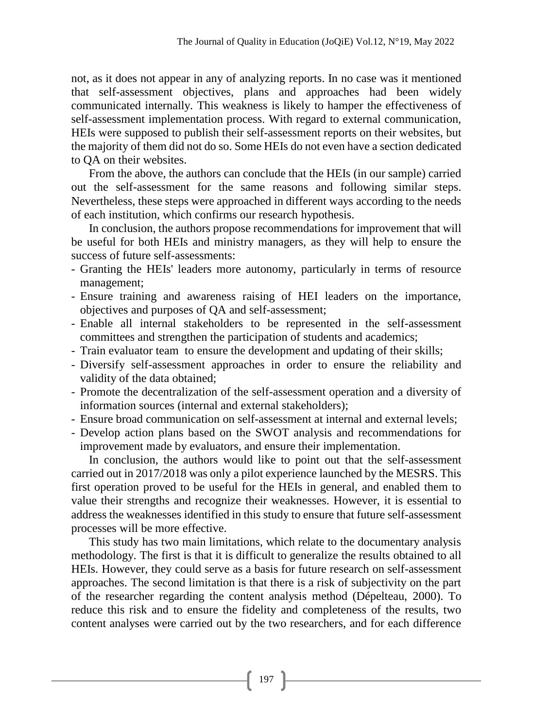not, as it does not appear in any of analyzing reports. In no case was it mentioned that self-assessment objectives, plans and approaches had been widely communicated internally. This weakness is likely to hamper the effectiveness of self-assessment implementation process. With regard to external communication, HEIs were supposed to publish their self-assessment reports on their websites, but the majority of them did not do so. Some HEIs do not even have a section dedicated to QA on their websites.

From the above, the authors can conclude that the HEIs (in our sample) carried out the self-assessment for the same reasons and following similar steps. Nevertheless, these steps were approached in different ways according to the needs of each institution, which confirms our research hypothesis.

In conclusion, the authors propose recommendations for improvement that will be useful for both HEIs and ministry managers, as they will help to ensure the success of future self-assessments:

- Granting the HEIs' leaders more autonomy, particularly in terms of resource management;
- Ensure training and awareness raising of HEI leaders on the importance, objectives and purposes of QA and self-assessment;
- Enable all internal stakeholders to be represented in the self-assessment committees and strengthen the participation of students and academics;
- Train evaluator team to ensure the development and updating of their skills;
- Diversify self-assessment approaches in order to ensure the reliability and validity of the data obtained;
- Promote the decentralization of the self-assessment operation and a diversity of information sources (internal and external stakeholders);
- Ensure broad communication on self-assessment at internal and external levels;
- Develop action plans based on the SWOT analysis and recommendations for improvement made by evaluators, and ensure their implementation.

In conclusion, the authors would like to point out that the self-assessment carried out in 2017/2018 was only a pilot experience launched by the MESRS. This first operation proved to be useful for the HEIs in general, and enabled them to value their strengths and recognize their weaknesses. However, it is essential to address the weaknesses identified in this study to ensure that future self-assessment processes will be more effective.

This study has two main limitations, which relate to the documentary analysis methodology. The first is that it is difficult to generalize the results obtained to all HEIs. However, they could serve as a basis for future research on self-assessment approaches. The second limitation is that there is a risk of subjectivity on the part of the researcher regarding the content analysis method (Dépelteau, 2000). To reduce this risk and to ensure the fidelity and completeness of the results, two content analyses were carried out by the two researchers, and for each difference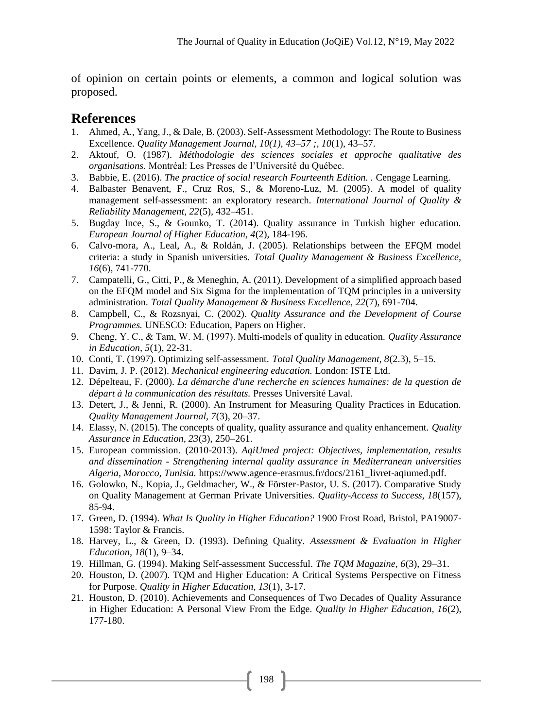of opinion on certain points or elements, a common and logical solution was proposed.

# **References**

- 1. Ahmed, A., Yang, J., & Dale, B. (2003). Self-Assessment Methodology: The Route to Business Excellence. *Quality Management Journal, 10(1), 43–57 ;, 10*(1), 43–57.
- 2. Aktouf, O. (1987). *Méthodologie des sciences sociales et approche qualitative des organisations.* Montréal: Les Presses de l'Université du Québec.
- 3. Babbie, E. (2016). *The practice of social research Fourteenth Edition. .* Cengage Learning.
- 4. Balbaster Benavent, F., Cruz Ros, S., & Moreno-Luz, M. (2005). A model of quality management self-assessment: an exploratory research. *International Journal of Quality & Reliability Management, 22*(5), 432–451.
- 5. Bugday Ince, S., & Gounko, T. (2014). Quality assurance in Turkish higher education. *European Journal of Higher Education, 4*(2), 184-196.
- 6. Calvo-mora, A., Leal, A., & Roldán, J. (2005). Relationships between the EFQM model criteria: a study in Spanish universities. *Total Quality Management & Business Excellence, 16*(6), 741-770.
- 7. Campatelli, G., Citti, P., & Meneghin, A. (2011). Development of a simplified approach based on the EFQM model and Six Sigma for the implementation of TQM principles in a university administration. *Total Quality Management & Business Excellence, 22*(7), 691-704.
- 8. Campbell, C., & Rozsnyai, C. (2002). *Quality Assurance and the Development of Course Programmes.* UNESCO: Education, Papers on Higher.
- 9. Cheng, Y. C., & Tam, W. M. (1997). Multi‐models of quality in education. *Quality Assurance in Education, 5*(1), 22-31.
- 10. Conti, T. (1997). Optimizing self-assessment. *Total Quality Management, 8*(2.3), 5–15.
- 11. Davim, J. P. (2012). *Mechanical engineering education.* London: ISTE Ltd.
- 12. Dépelteau, F. (2000). *La démarche d'une recherche en sciences humaines: de la question de départ à la communication des résultats.* Presses Université Laval.
- 13. Detert, J., & Jenni, R. (2000). An Instrument for Measuring Quality Practices in Education. *Quality Management Journal, 7*(3), 20–37.
- 14. Elassy, N. (2015). The concepts of quality, quality assurance and quality enhancement. *Quality Assurance in Education, 23*(3), 250–261.
- 15. European commission. (2010-2013). *AqiUmed project: Objectives, implementation, results and dissemination - Strengthening internal quality assurance in Mediterranean universities Algeria, Morocco, Tunisia.* https://www.agence-erasmus.fr/docs/2161\_livret-aqiumed.pdf.
- 16. Golowko, N., Kopia, J., Geldmacher, W., & Förster-Pastor, U. S. (2017). Comparative Study on Quality Management at German Private Universities. *Quality-Access to Success, 18*(157), 85-94.
- 17. Green, D. (1994). *What Is Quality in Higher Education?* 1900 Frost Road, Bristol, PA19007- 1598: Taylor & Francis.
- 18. Harvey, L., & Green, D. (1993). Defining Quality. *Assessment & Evaluation in Higher Education, 18*(1), 9–34.
- 19. Hillman, G. (1994). Making Self-assessment Successful. *The TQM Magazine, 6*(3), 29–31.
- 20. Houston, D. (2007). TQM and Higher Education: A Critical Systems Perspective on Fitness for Purpose. *Quality in Higher Education, 13*(1), 3-17.
- 21. Houston, D. (2010). Achievements and Consequences of Two Decades of Quality Assurance in Higher Education: A Personal View From the Edge. *Quality in Higher Education, 16*(2), 177-180.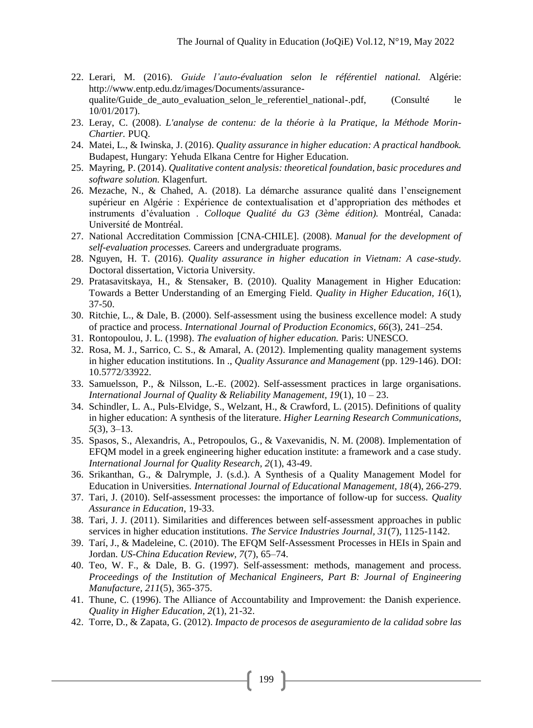- 22. Lerari, M. (2016). *Guide l'auto-évaluation selon le référentiel national.* Algérie: http://www.entp.edu.dz/images/Documents/assurancequalite/Guide de auto evaluation selon le referentiel national-.pdf, (Consulté le 10/01/2017).
- 23. Leray, C. (2008). *L'analyse de contenu: de la théorie à la Pratique, la Méthode Morin-Chartier.* PUQ.
- 24. Matei, L., & Iwinska, J. (2016). *Quality assurance in higher education: A practical handbook.* Budapest, Hungary: Yehuda Elkana Centre for Higher Education.
- 25. Mayring, P. (2014). *Qualitative content analysis: theoretical foundation, basic procedures and software solution.* Klagenfurt.
- 26. Mezache, N., & Chahed, A. (2018). La démarche assurance qualité dans l'enseignement supérieur en Algérie : Expérience de contextualisation et d'appropriation des méthodes et instruments d'évaluation . *Colloque Qualité du G3 (3ème édition).* Montréal, Canada: Université de Montréal.
- 27. National Accreditation Commission [CNA-CHILE]. (2008). *Manual for the development of self-evaluation processes.* Careers and undergraduate programs.
- 28. Nguyen, H. T. (2016). *Quality assurance in higher education in Vietnam: A case-study.* Doctoral dissertation, Victoria University.
- 29. Pratasavitskaya, H., & Stensaker, B. (2010). Quality Management in Higher Education: Towards a Better Understanding of an Emerging Field. *Quality in Higher Education, 16*(1), 37-50.
- 30. Ritchie, L., & Dale, B. (2000). Self-assessment using the business excellence model: A study of practice and process. *International Journal of Production Economics, 66*(3), 241–254.
- 31. Rontopoulou, J. L. (1998). *The evaluation of higher education.* Paris: UNESCO.
- 32. Rosa, M. J., Sarrico, C. S., & Amaral, A. (2012). Implementing quality management systems in higher education institutions. In ., *Quality Assurance and Management* (pp. 129-146). DOI: 10.5772/33922.
- 33. Samuelsson, P., & Nilsson, L.-E. (2002). Self-assessment practices in large organisations. *International Journal of Quality & Reliability Management, 19*(1), 10 – 23.
- 34. Schindler, L. A., Puls-Elvidge, S., Welzant, H., & Crawford, L. (2015). Definitions of quality in higher education: A synthesis of the literature. *Higher Learning Research Communications, 5*(3), 3–13.
- 35. Spasos, S., Alexandris, A., Petropoulos, G., & Vaxevanidis, N. M. (2008). Implementation of EFQM model in a greek engineering higher education institute: a framework and a case study. *International Journal for Quality Research, 2*(1), 43-49.
- 36. Srikanthan, G., & Dalrymple, J. (s.d.). A Synthesis of a Quality Management Model for Education in Universities. *International Journal of Educational Management, 18*(4), 266-279.
- 37. Tari, J. (2010). Self-assessment processes: the importance of follow-up for success. *Quality Assurance in Education*, 19-33.
- 38. Tari, J. J. (2011). Similarities and differences between self-assessment approaches in public services in higher education institutions. *The Service Industries Journal, 31*(7), 1125-1142.
- 39. Tarí, J., & Madeleine, C. (2010). The EFQM Self-Assessment Processes in HEIs in Spain and Jordan. *US-China Education Review, 7*(7), 65–74.
- 40. Teo, W. F., & Dale, B. G. (1997). Self-assessment: methods, management and process. *Proceedings of the Institution of Mechanical Engineers, Part B: Journal of Engineering Manufacture, 211*(5), 365-375.
- 41. Thune, C. (1996). The Alliance of Accountability and Improvement: the Danish experience. *Quality in Higher Education, 2*(1), 21-32.
- 42. Torre, D., & Zapata, G. (2012). *Impacto de procesos de aseguramiento de la calidad sobre las*